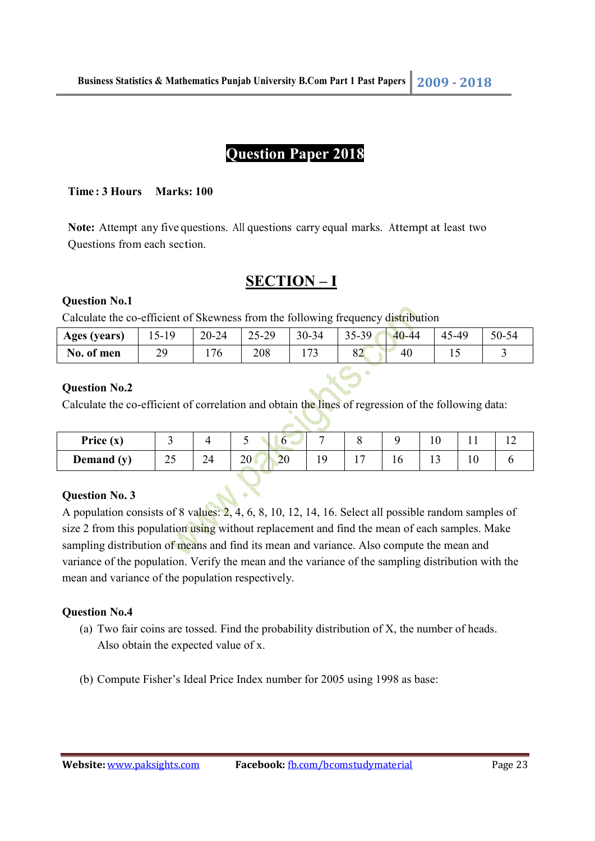## **Question Paper 2018**

#### **Time : 3 Hours Marks: 100**

**Note:** Attempt any five questions. All questions carry equal marks. Attempt at least two Questions from each section.

### **SECTION – I**

#### **Question No.1**

Calculate the co-efficient of Skewness from the following frequency distribution

| Ages (years) | $15-19$ | 20-24 | 25-29 | 30-34               | 40-44<br>35-39<br>ັບ | 45<br>$5-40$ | 50-54 |
|--------------|---------|-------|-------|---------------------|----------------------|--------------|-------|
| No. of men   | 29      | 76    | 208   | $\overline{ }$<br>ັ | $\Omega$<br>40<br>٥Ź | ⊥ J          |       |

### **Question No.2**

Calculate the co-efficient of correlation and obtain the lines of regression of the following data:

| Price $(x)$<br>20<br>$\sim$ $\sim$<br>$\bigcap$<br>$2\Lambda$<br>Demand (y)<br>ZV<br>ر∠<br>∠−<br>ΙV<br>. . |  |  |  |  |  |  |  |  |  |
|------------------------------------------------------------------------------------------------------------|--|--|--|--|--|--|--|--|--|
|                                                                                                            |  |  |  |  |  |  |  |  |  |
|                                                                                                            |  |  |  |  |  |  |  |  |  |

#### **Question No. 3**

A population consists of 8 values: 2, 4, 6, 8, 10, 12, 14, 16. Select all possible random samples of size 2 from this population using without replacement and find the mean of each samples. Make sampling distribution of means and find its mean and variance. Also compute the mean and variance of the population. Verify the mean and the variance of the sampling distribution with the mean and variance of the population respectively.

#### **Question No.4**

- (a) Two fair coins are tossed. Find the probability distribution of X, the number of heads. Also obtain the expected value of x.
- (b) Compute Fisher's Ideal Price Index number for 2005 using 1998 as base: